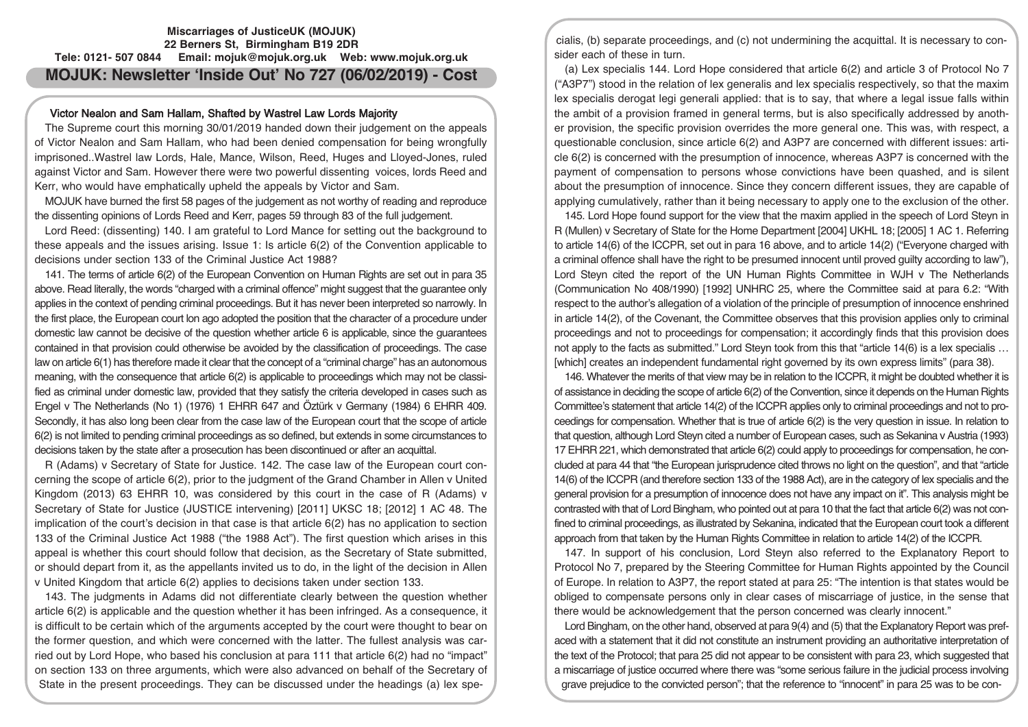# **Miscarriages of JusticeUK (MOJUK) 22 Berners St, Birmingham B19 2DR Tele: 0121- 507 0844 Email: mojuk@mojuk.org.uk Web: www.mojuk.org.uk MOJUK: Newsletter 'Inside Out' No 727 (06/02/2019) - Cost**

## Victor Nealon and Sam Hallam, Shafted by Wastrel Law Lords Majority

The Supreme court this morning 30/01/2019 handed down their judgement on the appeals of Victor Nealon and Sam Hallam, who had been denied compensation for being wrongfully imprisoned..Wastrel law Lords, Hale, Mance, Wilson, Reed, Huges and Lloyed-Jones, ruled against Victor and Sam. However there were two powerful dissenting voices, lords Reed and Kerr, who would have emphatically upheld the appeals by Victor and Sam.

MOJUK have burned the first 58 pages of the judgement as not worthy of reading and reproduce the dissenting opinions of Lords Reed and Kerr, pages 59 through 83 of the full judgement.

Lord Reed: (dissenting) 140. I am grateful to Lord Mance for setting out the background to these appeals and the issues arising. Issue 1: Is article 6(2) of the Convention applicable to decisions under section 133 of the Criminal Justice Act 1988?

141. The terms of article 6(2) of the European Convention on Human Rights are set out in para 35 above. Read literally, the words "charged with a criminal offence" might suggest that the guarantee only applies in the context of pending criminal proceedings. But it has never been interpreted so narrowly. In the first place, the European court lon ago adopted the position that the character of a procedure under domestic law cannot be decisive of the question whether article 6 is applicable, since the guarantees contained in that provision could otherwise be avoided by the classification of proceedings. The case law on article 6(1) has therefore made it clear that the concept of a "criminal charge" has an autonomous meaning, with the consequence that article 6(2) is applicable to proceedings which may not be classified as criminal under domestic law, provided that they satisfy the criteria developed in cases such as Engel v The Netherlands (No 1) (1976) 1 EHRR 647 and Öztürk v Germany (1984) 6 EHRR 409. Secondly, it has also long been clear from the case law of the European court that the scope of article 6(2) is not limited to pending criminal proceedings as so defined, but extends in some circumstances to decisions taken by the state after a prosecution has been discontinued or after an acquittal.

R (Adams) v Secretary of State for Justice. 142. The case law of the European court concerning the scope of article 6(2), prior to the judgment of the Grand Chamber in Allen v United Kingdom (2013) 63 EHRR 10, was considered by this court in the case of R (Adams) v Secretary of State for Justice (JUSTICE intervening) [2011] UKSC 18; [2012] 1 AC 48. The implication of the court's decision in that case is that article 6(2) has no application to section 133 of the Criminal Justice Act 1988 ("the 1988 Act"). The first question which arises in this appeal is whether this court should follow that decision, as the Secretary of State submitted, or should depart from it, as the appellants invited us to do, in the light of the decision in Allen v United Kingdom that article 6(2) applies to decisions taken under section 133.

143. The judgments in Adams did not differentiate clearly between the question whether article 6(2) is applicable and the question whether it has been infringed. As a consequence, it is difficult to be certain which of the arguments accepted by the court were thought to bear on the former question, and which were concerned with the latter. The fullest analysis was carried out by Lord Hope, who based his conclusion at para 111 that article 6(2) had no "impact" on section 133 on three arguments, which were also advanced on behalf of the Secretary of State in the present proceedings. They can be discussed under the headings (a) lex spe-

cialis, (b) separate proceedings, and (c) not undermining the acquittal. It is necessary to consider each of these in turn.

(a) Lex specialis 144. Lord Hope considered that article 6(2) and article 3 of Protocol No 7 ("A3P7") stood in the relation of lex generalis and lex specialis respectively, so that the maxim lex specialis derogat legi generali applied: that is to say, that where a legal issue falls within the ambit of a provision framed in general terms, but is also specifically addressed by another provision, the specific provision overrides the more general one. This was, with respect, a questionable conclusion, since article 6(2) and A3P7 are concerned with different issues: article 6(2) is concerned with the presumption of innocence, whereas A3P7 is concerned with the payment of compensation to persons whose convictions have been quashed, and is silent about the presumption of innocence. Since they concern different issues, they are capable of applying cumulatively, rather than it being necessary to apply one to the exclusion of the other.

145. Lord Hope found support for the view that the maxim applied in the speech of Lord Steyn in R (Mullen) v Secretary of State for the Home Department [2004] UKHL 18; [2005] 1 AC 1. Referring to article 14(6) of the ICCPR, set out in para 16 above, and to article 14(2) ("Everyone charged with a criminal offence shall have the right to be presumed innocent until proved guilty according to law"), Lord Steyn cited the report of the UN Human Rights Committee in WJH v The Netherlands (Communication No 408/1990) [1992] UNHRC 25, where the Committee said at para 6.2: "With respect to the author's allegation of a violation of the principle of presumption of innocence enshrined in article 14(2), of the Covenant, the Committee observes that this provision applies only to criminal proceedings and not to proceedings for compensation; it accordingly finds that this provision does not apply to the facts as submitted." Lord Steyn took from this that "article 14(6) is a lex specialis ... [which] creates an independent fundamental right governed by its own express limits" (para 38).

146. Whatever the merits of that view may be in relation to the ICCPR, it might be doubted whether it is of assistance in deciding the scope of article 6(2) of the Convention, since it depends on the Human Rights Committee's statement that article 14(2) of the ICCPR applies only to criminal proceedings and not to proceedings for compensation. Whether that is true of article 6(2) is the very question in issue. In relation to that question, although Lord Steyn cited a number of European cases, such as Sekanina v Austria (1993) 17 EHRR 221, which demonstrated that article 6(2) could apply to proceedings for compensation, he concluded at para 44 that "the European jurisprudence cited throws no light on the question", and that "article 14(6) of the ICCPR (and therefore section 133 of the 1988 Act), are in the category of lex specialis and the general provision for a presumption of innocence does not have any impact on it". This analysis might be contrasted with that of Lord Bingham, who pointed out at para 10 that the fact that article 6(2) was not confined to criminal proceedings, as illustrated by Sekanina, indicated that the European court took a different approach from that taken by the Human Rights Committee in relation to article 14(2) of the ICCPR.

147. In support of his conclusion, Lord Steyn also referred to the Explanatory Report to Protocol No 7, prepared by the Steering Committee for Human Rights appointed by the Council of Europe. In relation to A3P7, the report stated at para 25: "The intention is that states would be obliged to compensate persons only in clear cases of miscarriage of justice, in the sense that there would be acknowledgement that the person concerned was clearly innocent."

Lord Bingham, on the other hand, observed at para 9(4) and (5) that the Explanatory Report was prefaced with a statement that it did not constitute an instrument providing an authoritative interpretation of the text of the Protocol; that para 25 did not appear to be consistent with para 23, which suggested that a miscarriage of justice occurred where there was "some serious failure in the judicial process involving grave prejudice to the convicted person"; that the reference to "innocent" in para 25 was to be con-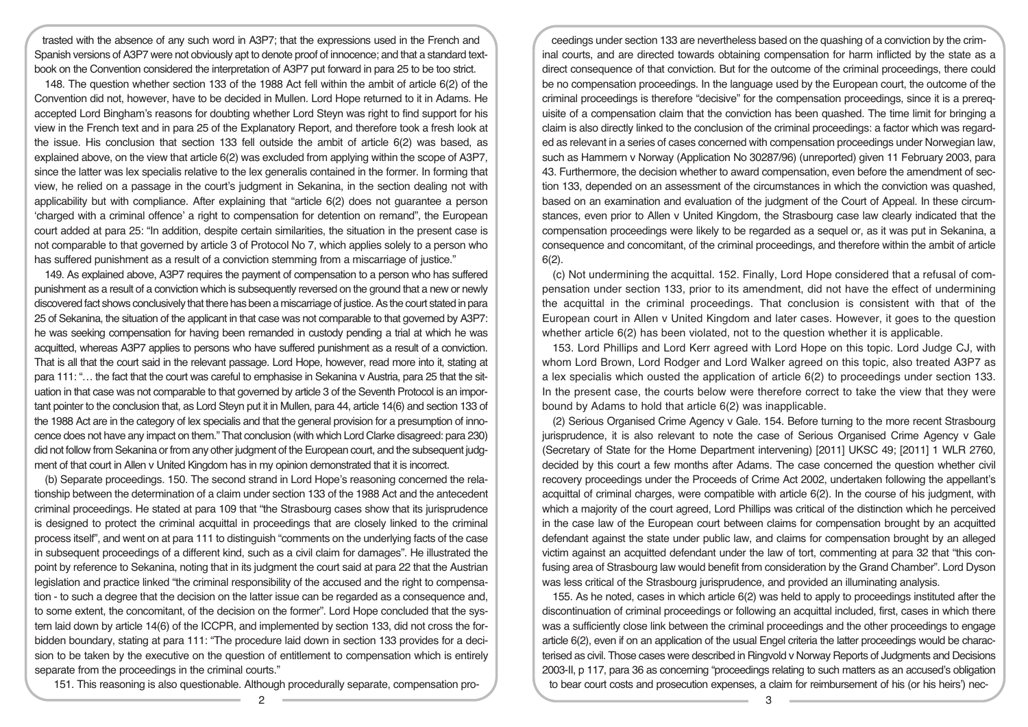trasted with the absence of any such word in A3P7; that the expressions used in the French and Spanish versions of A3P7 were not obviously apt to denote proof of innocence; and that a standard textbook on the Convention considered the interpretation of A3P7 put forward in para 25 to be too strict.

148. The question whether section 133 of the 1988 Act fell within the ambit of article 6(2) of the Convention did not, however, have to be decided in Mullen. Lord Hope returned to it in Adams. He accepted Lord Bingham's reasons for doubting whether Lord Steyn was right to find support for his view in the French text and in para 25 of the Explanatory Report, and therefore took a fresh look at the issue. His conclusion that section 133 fell outside the ambit of article 6(2) was based, as explained above, on the view that article 6(2) was excluded from applying within the scope of A3P7, since the latter was lex specialis relative to the lex generalis contained in the former. In forming that view, he relied on a passage in the court's judgment in Sekanina, in the section dealing not with applicability but with compliance. After explaining that "article 6(2) does not guarantee a person 'charged with a criminal offence' a right to compensation for detention on remand", the European court added at para 25: "In addition, despite certain similarities, the situation in the present case is not comparable to that governed by article 3 of Protocol No 7, which applies solely to a person who has suffered punishment as a result of a conviction stemming from a miscarriage of justice."

149. As explained above, A3P7 requires the payment of compensation to a person who has suffered punishment as a result of a conviction which is subsequently reversed on the ground that a new or newly discovered fact shows conclusively that there has been a miscarriage of justice. As the court stated in para 25 of Sekanina, the situation of the applicant in that case was not comparable to that governed by A3P7: he was seeking compensation for having been remanded in custody pending a trial at which he was acquitted, whereas A3P7 applies to persons who have suffered punishment as a result of a conviction. That is all that the court said in the relevant passage. Lord Hope, however, read more into it, stating at para 111: "… the fact that the court was careful to emphasise in Sekanina v Austria, para 25 that the situation in that case was not comparable to that governed by article 3 of the Seventh Protocol is an important pointer to the conclusion that, as Lord Steyn put it in Mullen, para 44, article 14(6) and section 133 of the 1988 Act are in the category of lex specialis and that the general provision for a presumption of innocence does not have any impact on them." That conclusion (with which Lord Clarke disagreed: para 230) did not follow from Sekanina or from any other judgment of the European court, and the subsequent judgment of that court in Allen v United Kingdom has in my opinion demonstrated that it is incorrect.

(b) Separate proceedings. 150. The second strand in Lord Hope's reasoning concerned the relationship between the determination of a claim under section 133 of the 1988 Act and the antecedent criminal proceedings. He stated at para 109 that "the Strasbourg cases show that its jurisprudence is designed to protect the criminal acquittal in proceedings that are closely linked to the criminal process itself", and went on at para 111 to distinguish "comments on the underlying facts of the case in subsequent proceedings of a different kind, such as a civil claim for damages". He illustrated the point by reference to Sekanina, noting that in its judgment the court said at para 22 that the Austrian legislation and practice linked "the criminal responsibility of the accused and the right to compensation - to such a degree that the decision on the latter issue can be regarded as a consequence and, to some extent, the concomitant, of the decision on the former". Lord Hope concluded that the system laid down by article 14(6) of the ICCPR, and implemented by section 133, did not cross the forbidden boundary, stating at para 111: "The procedure laid down in section 133 provides for a decision to be taken by the executive on the question of entitlement to compensation which is entirely separate from the proceedings in the criminal courts."

151. This reasoning is also questionable. Although procedurally separate, compensation pro-

ceedings under section 133 are nevertheless based on the quashing of a conviction by the criminal courts, and are directed towards obtaining compensation for harm inflicted by the state as a direct consequence of that conviction. But for the outcome of the criminal proceedings, there could be no compensation proceedings. In the language used by the European court, the outcome of the criminal proceedings is therefore "decisive" for the compensation proceedings, since it is a prerequisite of a compensation claim that the conviction has been quashed. The time limit for bringing a claim is also directly linked to the conclusion of the criminal proceedings: a factor which was regarded as relevant in a series of cases concerned with compensation proceedings under Norwegian law, such as Hammern v Norway (Application No 30287/96) (unreported) given 11 February 2003, para 43. Furthermore, the decision whether to award compensation, even before the amendment of section 133, depended on an assessment of the circumstances in which the conviction was quashed, based on an examination and evaluation of the judgment of the Court of Appeal. In these circumstances, even prior to Allen v United Kingdom, the Strasbourg case law clearly indicated that the compensation proceedings were likely to be regarded as a sequel or, as it was put in Sekanina, a consequence and concomitant, of the criminal proceedings, and therefore within the ambit of article 6(2).

(c) Not undermining the acquittal. 152. Finally, Lord Hope considered that a refusal of compensation under section 133, prior to its amendment, did not have the effect of undermining the acquittal in the criminal proceedings. That conclusion is consistent with that of the European court in Allen v United Kingdom and later cases. However, it goes to the question whether article 6(2) has been violated, not to the question whether it is applicable.

153. Lord Phillips and Lord Kerr agreed with Lord Hope on this topic. Lord Judge CJ, with whom Lord Brown, Lord Rodger and Lord Walker agreed on this topic, also treated A3P7 as a lex specialis which ousted the application of article 6(2) to proceedings under section 133. In the present case, the courts below were therefore correct to take the view that they were bound by Adams to hold that article 6(2) was inapplicable.

(2) Serious Organised Crime Agency v Gale. 154. Before turning to the more recent Strasbourg jurisprudence, it is also relevant to note the case of Serious Organised Crime Agency v Gale (Secretary of State for the Home Department intervening) [2011] UKSC 49; [2011] 1 WLR 2760, decided by this court a few months after Adams. The case concerned the question whether civil recovery proceedings under the Proceeds of Crime Act 2002, undertaken following the appellant's acquittal of criminal charges, were compatible with article 6(2). In the course of his judgment, with which a majority of the court agreed, Lord Phillips was critical of the distinction which he perceived in the case law of the European court between claims for compensation brought by an acquitted defendant against the state under public law, and claims for compensation brought by an alleged victim against an acquitted defendant under the law of tort, commenting at para 32 that "this confusing area of Strasbourg law would benefit from consideration by the Grand Chamber". Lord Dyson was less critical of the Strasbourg jurisprudence, and provided an illuminating analysis.

155. As he noted, cases in which article 6(2) was held to apply to proceedings instituted after the discontinuation of criminal proceedings or following an acquittal included, first, cases in which there was a sufficiently close link between the criminal proceedings and the other proceedings to engage article 6(2), even if on an application of the usual Engel criteria the latter proceedings would be characterised as civil. Those cases were described in Ringvold v Norway Reports of Judgments and Decisions 2003-II, p 117, para 36 as concerning "proceedings relating to such matters as an accused's obligation to bear court costs and prosecution expenses, a claim for reimbursement of his (or his heirs') nec-

2 3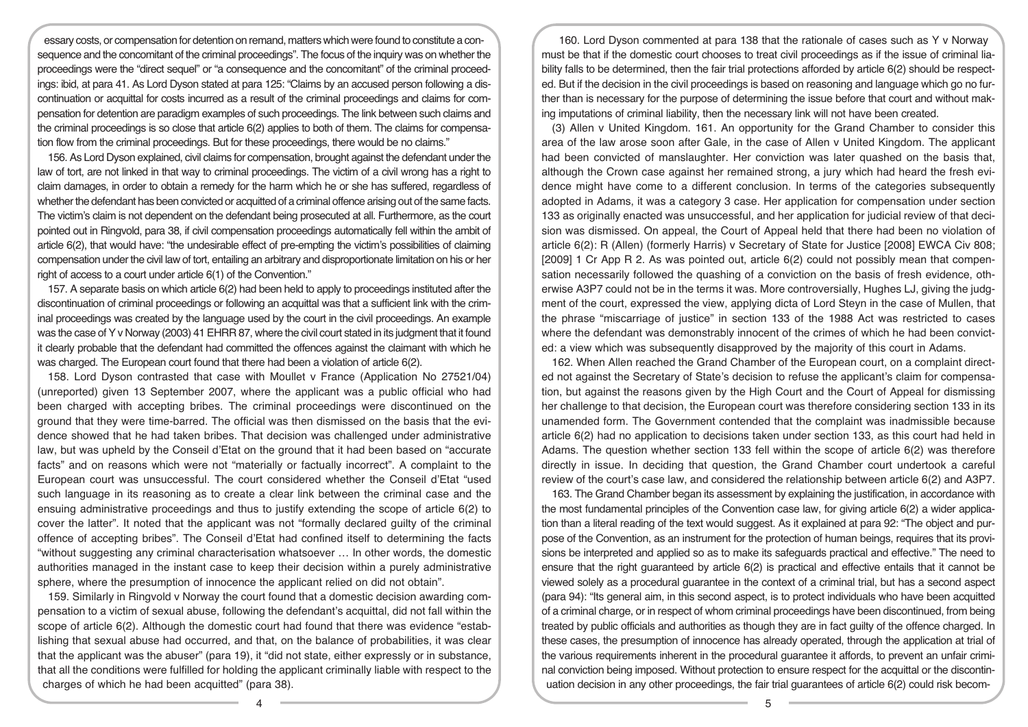essary costs, or compensation for detention on remand, matters which were found to constitute a consequence and the concomitant of the criminal proceedings". The focus of the inquiry was on whether the proceedings were the "direct sequel" or "a consequence and the concomitant" of the criminal proceedings: ibid, at para 41. As Lord Dyson stated at para 125: "Claims by an accused person following a discontinuation or acquittal for costs incurred as a result of the criminal proceedings and claims for compensation for detention are paradigm examples of such proceedings. The link between such claims and the criminal proceedings is so close that article 6(2) applies to both of them. The claims for compensation flow from the criminal proceedings. But for these proceedings, there would be no claims."

156. As Lord Dyson explained, civil claims for compensation, brought against the defendant under the law of tort, are not linked in that way to criminal proceedings. The victim of a civil wrong has a right to claim damages, in order to obtain a remedy for the harm which he or she has suffered, regardless of whether the defendant has been convicted or acquitted of a criminal offence arising out of the same facts. The victim's claim is not dependent on the defendant being prosecuted at all. Furthermore, as the court pointed out in Ringvold, para 38, if civil compensation proceedings automatically fell within the ambit of article 6(2), that would have: "the undesirable effect of pre-empting the victim's possibilities of claiming compensation under the civil law of tort, entailing an arbitrary and disproportionate limitation on his or her right of access to a court under article 6(1) of the Convention."

157. A separate basis on which article 6(2) had been held to apply to proceedings instituted after the discontinuation of criminal proceedings or following an acquittal was that a sufficient link with the criminal proceedings was created by the language used by the court in the civil proceedings. An example was the case of Y v Norway (2003) 41 EHRR 87, where the civil court stated in its judgment that it found it clearly probable that the defendant had committed the offences against the claimant with which he was charged. The European court found that there had been a violation of article 6(2).

158. Lord Dyson contrasted that case with Moullet v France (Application No 27521/04) (unreported) given 13 September 2007, where the applicant was a public official who had been charged with accepting bribes. The criminal proceedings were discontinued on the ground that they were time-barred. The official was then dismissed on the basis that the evidence showed that he had taken bribes. That decision was challenged under administrative law, but was upheld by the Conseil d'Etat on the ground that it had been based on "accurate facts" and on reasons which were not "materially or factually incorrect". A complaint to the European court was unsuccessful. The court considered whether the Conseil d'Etat "used such language in its reasoning as to create a clear link between the criminal case and the ensuing administrative proceedings and thus to justify extending the scope of article 6(2) to cover the latter". It noted that the applicant was not "formally declared guilty of the criminal offence of accepting bribes". The Conseil d'Etat had confined itself to determining the facts "without suggesting any criminal characterisation whatsoever … In other words, the domestic authorities managed in the instant case to keep their decision within a purely administrative sphere, where the presumption of innocence the applicant relied on did not obtain".

159. Similarly in Ringvold v Norway the court found that a domestic decision awarding compensation to a victim of sexual abuse, following the defendant's acquittal, did not fall within the scope of article 6(2). Although the domestic court had found that there was evidence "establishing that sexual abuse had occurred, and that, on the balance of probabilities, it was clear that the applicant was the abuser" (para 19), it "did not state, either expressly or in substance, that all the conditions were fulfilled for holding the applicant criminally liable with respect to the charges of which he had been acquitted" (para 38).

160. Lord Dyson commented at para 138 that the rationale of cases such as Y v Norway must be that if the domestic court chooses to treat civil proceedings as if the issue of criminal liability falls to be determined, then the fair trial protections afforded by article 6(2) should be respected. But if the decision in the civil proceedings is based on reasoning and language which go no further than is necessary for the purpose of determining the issue before that court and without making imputations of criminal liability, then the necessary link will not have been created.

(3) Allen v United Kingdom. 161. An opportunity for the Grand Chamber to consider this area of the law arose soon after Gale, in the case of Allen v United Kingdom. The applicant had been convicted of manslaughter. Her conviction was later quashed on the basis that, although the Crown case against her remained strong, a jury which had heard the fresh evidence might have come to a different conclusion. In terms of the categories subsequently adopted in Adams, it was a category 3 case. Her application for compensation under section 133 as originally enacted was unsuccessful, and her application for judicial review of that decision was dismissed. On appeal, the Court of Appeal held that there had been no violation of article 6(2): R (Allen) (formerly Harris) v Secretary of State for Justice [2008] EWCA Civ 808; [2009] 1 Cr App R 2. As was pointed out, article 6(2) could not possibly mean that compensation necessarily followed the quashing of a conviction on the basis of fresh evidence, otherwise A3P7 could not be in the terms it was. More controversially, Hughes LJ, giving the judgment of the court, expressed the view, applying dicta of Lord Steyn in the case of Mullen, that the phrase "miscarriage of justice" in section 133 of the 1988 Act was restricted to cases where the defendant was demonstrably innocent of the crimes of which he had been convicted: a view which was subsequently disapproved by the majority of this court in Adams.

162. When Allen reached the Grand Chamber of the European court, on a complaint directed not against the Secretary of State's decision to refuse the applicant's claim for compensation, but against the reasons given by the High Court and the Court of Appeal for dismissing her challenge to that decision, the European court was therefore considering section 133 in its unamended form. The Government contended that the complaint was inadmissible because article 6(2) had no application to decisions taken under section 133, as this court had held in Adams. The question whether section 133 fell within the scope of article 6(2) was therefore directly in issue. In deciding that question, the Grand Chamber court undertook a careful review of the court's case law, and considered the relationship between article 6(2) and A3P7.

163. The Grand Chamber began its assessment by explaining the justification, in accordance with the most fundamental principles of the Convention case law, for giving article 6(2) a wider application than a literal reading of the text would suggest. As it explained at para 92: "The object and purpose of the Convention, as an instrument for the protection of human beings, requires that its provisions be interpreted and applied so as to make its safeguards practical and effective." The need to ensure that the right guaranteed by article 6(2) is practical and effective entails that it cannot be viewed solely as a procedural guarantee in the context of a criminal trial, but has a second aspect (para 94): "Its general aim, in this second aspect, is to protect individuals who have been acquitted of a criminal charge, or in respect of whom criminal proceedings have been discontinued, from being treated by public officials and authorities as though they are in fact guilty of the offence charged. In these cases, the presumption of innocence has already operated, through the application at trial of the various requirements inherent in the procedural guarantee it affords, to prevent an unfair criminal conviction being imposed. Without protection to ensure respect for the acquittal or the discontinuation decision in any other proceedings, the fair trial guarantees of article 6(2) could risk becom-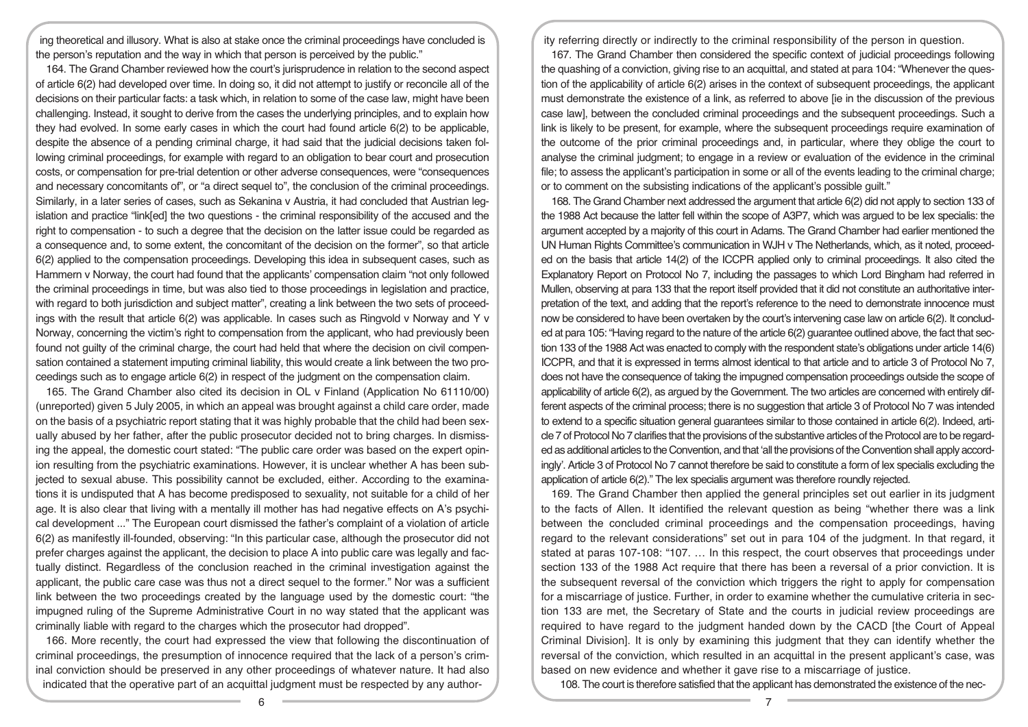ing theoretical and illusory. What is also at stake once the criminal proceedings have concluded is the person's reputation and the way in which that person is perceived by the public."

164. The Grand Chamber reviewed how the court's jurisprudence in relation to the second aspect of article 6(2) had developed over time. In doing so, it did not attempt to justify or reconcile all of the decisions on their particular facts: a task which, in relation to some of the case law, might have been challenging. Instead, it sought to derive from the cases the underlying principles, and to explain how they had evolved. In some early cases in which the court had found article 6(2) to be applicable, despite the absence of a pending criminal charge, it had said that the judicial decisions taken following criminal proceedings, for example with regard to an obligation to bear court and prosecution costs, or compensation for pre-trial detention or other adverse consequences, were "consequences and necessary concomitants of", or "a direct sequel to", the conclusion of the criminal proceedings. Similarly, in a later series of cases, such as Sekanina v Austria, it had concluded that Austrian legislation and practice "link[ed] the two questions - the criminal responsibility of the accused and the right to compensation - to such a degree that the decision on the latter issue could be regarded as a consequence and, to some extent, the concomitant of the decision on the former", so that article 6(2) applied to the compensation proceedings. Developing this idea in subsequent cases, such as Hammern v Norway, the court had found that the applicants' compensation claim "not only followed the criminal proceedings in time, but was also tied to those proceedings in legislation and practice, with regard to both jurisdiction and subject matter", creating a link between the two sets of proceedings with the result that article 6(2) was applicable. In cases such as Ringvold v Norway and Y v Norway, concerning the victim's right to compensation from the applicant, who had previously been found not guilty of the criminal charge, the court had held that where the decision on civil compensation contained a statement imputing criminal liability, this would create a link between the two proceedings such as to engage article 6(2) in respect of the judgment on the compensation claim.

165. The Grand Chamber also cited its decision in OL v Finland (Application No 61110/00) (unreported) given 5 July 2005, in which an appeal was brought against a child care order, made on the basis of a psychiatric report stating that it was highly probable that the child had been sexually abused by her father, after the public prosecutor decided not to bring charges. In dismissing the appeal, the domestic court stated: "The public care order was based on the expert opinion resulting from the psychiatric examinations. However, it is unclear whether A has been subjected to sexual abuse. This possibility cannot be excluded, either. According to the examinations it is undisputed that A has become predisposed to sexuality, not suitable for a child of her age. It is also clear that living with a mentally ill mother has had negative effects on A's psychical development ..." The European court dismissed the father's complaint of a violation of article 6(2) as manifestly ill-founded, observing: "In this particular case, although the prosecutor did not prefer charges against the applicant, the decision to place A into public care was legally and factually distinct. Regardless of the conclusion reached in the criminal investigation against the applicant, the public care case was thus not a direct sequel to the former." Nor was a sufficient link between the two proceedings created by the language used by the domestic court: "the impugned ruling of the Supreme Administrative Court in no way stated that the applicant was criminally liable with regard to the charges which the prosecutor had dropped".

166. More recently, the court had expressed the view that following the discontinuation of criminal proceedings, the presumption of innocence required that the lack of a person's criminal conviction should be preserved in any other proceedings of whatever nature. It had also indicated that the operative part of an acquittal judgment must be respected by any authority referring directly or indirectly to the criminal responsibility of the person in question.

167. The Grand Chamber then considered the specific context of judicial proceedings following the quashing of a conviction, giving rise to an acquittal, and stated at para 104: "Whenever the question of the applicability of article 6(2) arises in the context of subsequent proceedings, the applicant must demonstrate the existence of a link, as referred to above [ie in the discussion of the previous case law], between the concluded criminal proceedings and the subsequent proceedings. Such a link is likely to be present, for example, where the subsequent proceedings require examination of the outcome of the prior criminal proceedings and, in particular, where they oblige the court to analyse the criminal judgment; to engage in a review or evaluation of the evidence in the criminal file; to assess the applicant's participation in some or all of the events leading to the criminal charge; or to comment on the subsisting indications of the applicant's possible guilt."

168. The Grand Chamber next addressed the argument that article 6(2) did not apply to section 133 of the 1988 Act because the latter fell within the scope of A3P7, which was argued to be lex specialis: the argument accepted by a majority of this court in Adams. The Grand Chamber had earlier mentioned the UN Human Rights Committee's communication in WJH v The Netherlands, which, as it noted, proceeded on the basis that article 14(2) of the ICCPR applied only to criminal proceedings. It also cited the Explanatory Report on Protocol No 7, including the passages to which Lord Bingham had referred in Mullen, observing at para 133 that the report itself provided that it did not constitute an authoritative interpretation of the text, and adding that the report's reference to the need to demonstrate innocence must now be considered to have been overtaken by the court's intervening case law on article 6(2). It concluded at para 105: "Having regard to the nature of the article 6(2) guarantee outlined above, the fact that section 133 of the 1988 Act was enacted to comply with the respondent state's obligations under article 14(6) ICCPR, and that it is expressed in terms almost identical to that article and to article 3 of Protocol No 7, does not have the consequence of taking the impugned compensation proceedings outside the scope of applicability of article 6(2), as argued by the Government. The two articles are concerned with entirely different aspects of the criminal process; there is no suggestion that article 3 of Protocol No 7 was intended to extend to a specific situation general guarantees similar to those contained in article 6(2). Indeed, article 7 of Protocol No 7 clarifies that the provisions of the substantive articles of the Protocol are to be regarded as additional articles to the Convention, and that 'all the provisions of the Convention shall apply accordingly'. Article 3 of Protocol No 7 cannot therefore be said to constitute a form of lex specialis excluding the application of article 6(2)." The lex specialis argument was therefore roundly rejected.

169. The Grand Chamber then applied the general principles set out earlier in its judgment to the facts of Allen. It identified the relevant question as being "whether there was a link between the concluded criminal proceedings and the compensation proceedings, having regard to the relevant considerations" set out in para 104 of the judgment. In that regard, it stated at paras 107-108: "107. … In this respect, the court observes that proceedings under section 133 of the 1988 Act require that there has been a reversal of a prior conviction. It is the subsequent reversal of the conviction which triggers the right to apply for compensation for a miscarriage of justice. Further, in order to examine whether the cumulative criteria in section 133 are met, the Secretary of State and the courts in judicial review proceedings are required to have regard to the judgment handed down by the CACD [the Court of Appeal Criminal Division]. It is only by examining this judgment that they can identify whether the reversal of the conviction, which resulted in an acquittal in the present applicant's case, was based on new evidence and whether it gave rise to a miscarriage of justice.

108. The court is therefore satisfied that the applicant has demonstrated the existence of the nec-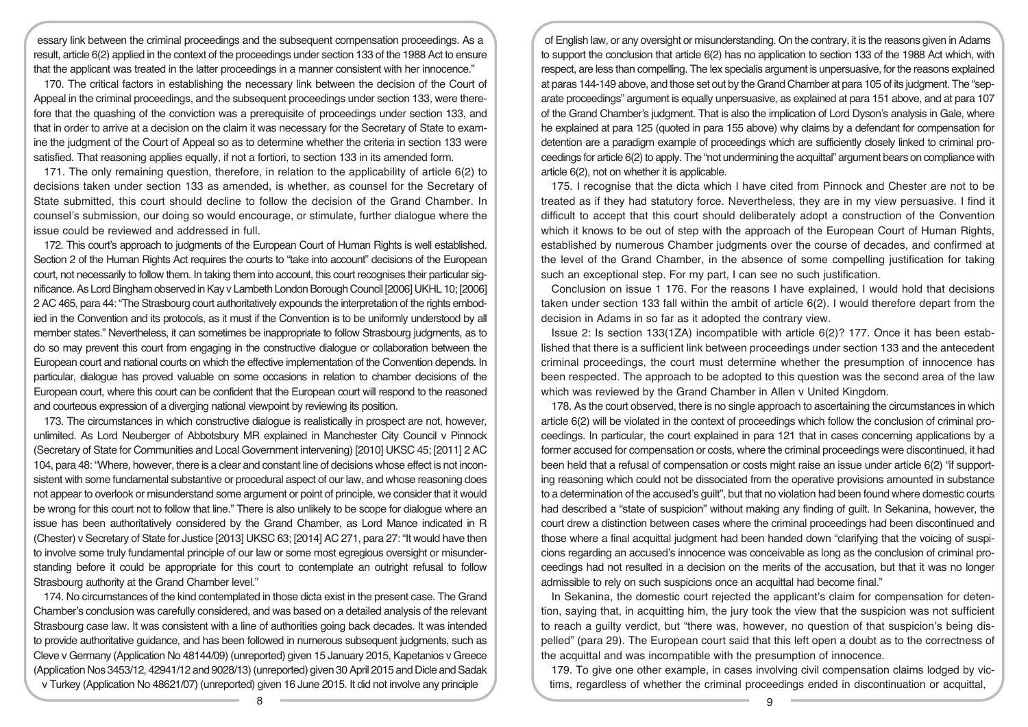essary link between the criminal proceedings and the subsequent compensation proceedings. As a result, article 6(2) applied in the context of the proceedings under section 133 of the 1988 Act to ensure that the applicant was treated in the latter proceedings in a manner consistent with her innocence."

170. The critical factors in establishing the necessary link between the decision of the Court of Appeal in the criminal proceedings, and the subsequent proceedings under section 133, were therefore that the quashing of the conviction was a prerequisite of proceedings under section 133, and that in order to arrive at a decision on the claim it was necessary for the Secretary of State to examine the judgment of the Court of Appeal so as to determine whether the criteria in section 133 were satisfied. That reasoning applies equally, if not a fortiori, to section 133 in its amended form.

171. The only remaining question, therefore, in relation to the applicability of article 6(2) to decisions taken under section 133 as amended, is whether, as counsel for the Secretary of State submitted, this court should decline to follow the decision of the Grand Chamber. In counsel's submission, our doing so would encourage, or stimulate, further dialogue where the issue could be reviewed and addressed in full.

172. This court's approach to judgments of the European Court of Human Rights is well established. Section 2 of the Human Rights Act requires the courts to "take into account" decisions of the European court, not necessarily to follow them. In taking them into account, this court recognises their particular significance. As Lord Bingham observed in Kay v Lambeth London Borough Council [2006] UKHL 10; [2006] 2 AC 465, para 44: "The Strasbourg court authoritatively expounds the interpretation of the rights embodied in the Convention and its protocols, as it must if the Convention is to be uniformly understood by all member states." Nevertheless, it can sometimes be inappropriate to follow Strasbourg judgments, as to do so may prevent this court from engaging in the constructive dialogue or collaboration between the European court and national courts on which the effective implementation of the Convention depends. In particular, dialogue has proved valuable on some occasions in relation to chamber decisions of the European court, where this court can be confident that the European court will respond to the reasoned and courteous expression of a diverging national viewpoint by reviewing its position.

173. The circumstances in which constructive dialogue is realistically in prospect are not, however, unlimited. As Lord Neuberger of Abbotsbury MR explained in Manchester City Council v Pinnock (Secretary of State for Communities and Local Government intervening) [2010] UKSC 45; [2011] 2 AC 104, para 48: "Where, however, there is a clear and constant line of decisions whose effect is not inconsistent with some fundamental substantive or procedural aspect of our law, and whose reasoning does not appear to overlook or misunderstand some argument or point of principle, we consider that it would be wrong for this court not to follow that line." There is also unlikely to be scope for dialogue where an issue has been authoritatively considered by the Grand Chamber, as Lord Mance indicated in R (Chester) v Secretary of State for Justice [2013] UKSC 63; [2014] AC 271, para 27: "It would have then to involve some truly fundamental principle of our law or some most egregious oversight or misunderstanding before it could be appropriate for this court to contemplate an outright refusal to follow Strasbourg authority at the Grand Chamber level."

174. No circumstances of the kind contemplated in those dicta exist in the present case. The Grand Chamber's conclusion was carefully considered, and was based on a detailed analysis of the relevant Strasbourg case law. It was consistent with a line of authorities going back decades. It was intended to provide authoritative guidance, and has been followed in numerous subsequent judgments, such as Cleve v Germany (Application No 48144/09) (unreported) given 15 January 2015, Kapetanios v Greece (Application Nos 3453/12, 42941/12 and 9028/13) (unreported) given 30 April 2015 and Dicle and Sadak v Turkey (Application No 48621/07) (unreported) given 16 June 2015. It did not involve any principle

of English law, or any oversight or misunderstanding. On the contrary, it is the reasons given in Adams to support the conclusion that article 6(2) has no application to section 133 of the 1988 Act which, with respect, are less than compelling. The lex specialis argument is unpersuasive, for the reasons explained at paras 144-149 above, and those set out by the Grand Chamber at para 105 of its judgment. The "separate proceedings" argument is equally unpersuasive, as explained at para 151 above, and at para 107 of the Grand Chamber's judgment. That is also the implication of Lord Dyson's analysis in Gale, where he explained at para 125 (quoted in para 155 above) why claims by a defendant for compensation for detention are a paradigm example of proceedings which are sufficiently closely linked to criminal proceedings for article 6(2) to apply. The "not undermining the acquittal" argument bears on compliance with article 6(2), not on whether it is applicable.

175. I recognise that the dicta which I have cited from Pinnock and Chester are not to be treated as if they had statutory force. Nevertheless, they are in my view persuasive. I find it difficult to accept that this court should deliberately adopt a construction of the Convention which it knows to be out of step with the approach of the European Court of Human Rights, established by numerous Chamber judgments over the course of decades, and confirmed at the level of the Grand Chamber, in the absence of some compelling justification for taking such an exceptional step. For my part, I can see no such justification.

Conclusion on issue 1 176. For the reasons I have explained, I would hold that decisions taken under section 133 fall within the ambit of article 6(2). I would therefore depart from the decision in Adams in so far as it adopted the contrary view.

Issue 2: Is section 133(1ZA) incompatible with article 6(2)? 177. Once it has been established that there is a sufficient link between proceedings under section 133 and the antecedent criminal proceedings, the court must determine whether the presumption of innocence has been respected. The approach to be adopted to this question was the second area of the law which was reviewed by the Grand Chamber in Allen v United Kingdom.

178. As the court observed, there is no single approach to ascertaining the circumstances in which article 6(2) will be violated in the context of proceedings which follow the conclusion of criminal proceedings. In particular, the court explained in para 121 that in cases concerning applications by a former accused for compensation or costs, where the criminal proceedings were discontinued, it had been held that a refusal of compensation or costs might raise an issue under article 6(2) "if supporting reasoning which could not be dissociated from the operative provisions amounted in substance to a determination of the accused's guilt", but that no violation had been found where domestic courts had described a "state of suspicion" without making any finding of guilt. In Sekanina, however, the court drew a distinction between cases where the criminal proceedings had been discontinued and those where a final acquittal judgment had been handed down "clarifying that the voicing of suspicions regarding an accused's innocence was conceivable as long as the conclusion of criminal proceedings had not resulted in a decision on the merits of the accusation, but that it was no longer admissible to rely on such suspicions once an acquittal had become final."

In Sekanina, the domestic court rejected the applicant's claim for compensation for detention, saying that, in acquitting him, the jury took the view that the suspicion was not sufficient to reach a guilty verdict, but "there was, however, no question of that suspicion's being dispelled" (para 29). The European court said that this left open a doubt as to the correctness of the acquittal and was incompatible with the presumption of innocence.

179. To give one other example, in cases involving civil compensation claims lodged by victims, regardless of whether the criminal proceedings ended in discontinuation or acquittal,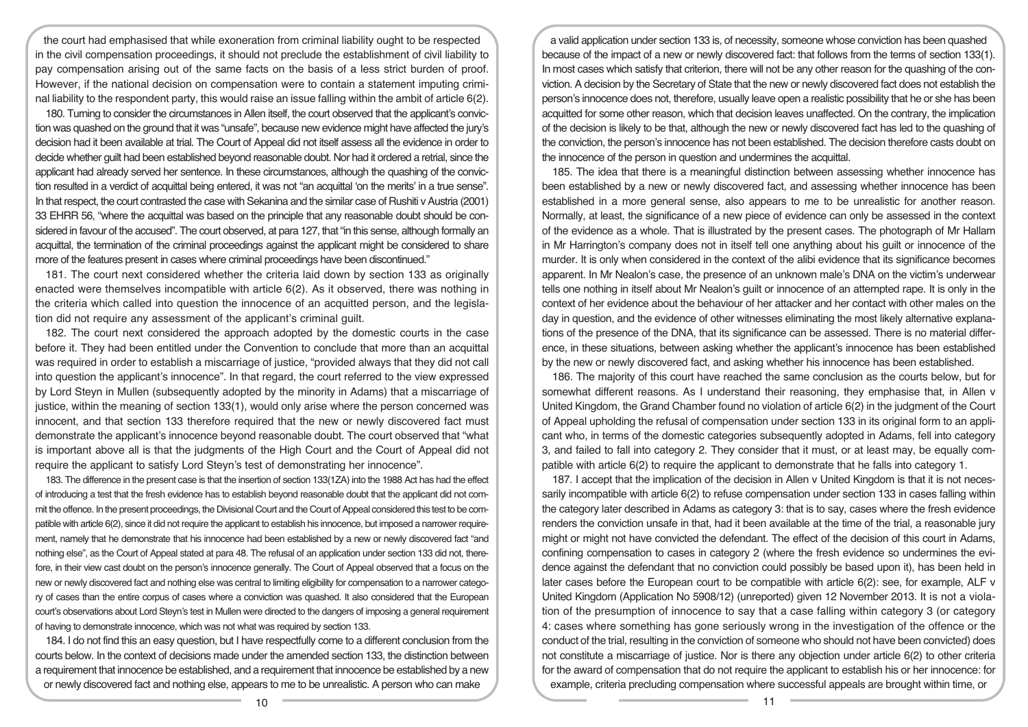the court had emphasised that while exoneration from criminal liability ought to be respected in the civil compensation proceedings, it should not preclude the establishment of civil liability to pay compensation arising out of the same facts on the basis of a less strict burden of proof. However, if the national decision on compensation were to contain a statement imputing criminal liability to the respondent party, this would raise an issue falling within the ambit of article 6(2).

180. Turning to consider the circumstances in Allen itself, the court observed that the applicant's conviction was quashed on the ground that it was "unsafe", because new evidence might have affected the jury's decision had it been available at trial. The Court of Appeal did not itself assess all the evidence in order to decide whether guilt had been established beyond reasonable doubt. Nor had it ordered a retrial, since the applicant had already served her sentence. In these circumstances, although the quashing of the conviction resulted in a verdict of acquittal being entered, it was not "an acquittal 'on the merits' in a true sense". In that respect, the court contrasted the case with Sekanina and the similar case of Rushiti v Austria (2001) 33 EHRR 56, "where the acquittal was based on the principle that any reasonable doubt should be considered in favour of the accused". The court observed, at para 127, that "in this sense, although formally an acquittal, the termination of the criminal proceedings against the applicant might be considered to share more of the features present in cases where criminal proceedings have been discontinued."

181. The court next considered whether the criteria laid down by section 133 as originally enacted were themselves incompatible with article 6(2). As it observed, there was nothing in the criteria which called into question the innocence of an acquitted person, and the legislation did not require any assessment of the applicant's criminal guilt.

182. The court next considered the approach adopted by the domestic courts in the case before it. They had been entitled under the Convention to conclude that more than an acquittal was required in order to establish a miscarriage of justice, "provided always that they did not call into question the applicant's innocence". In that regard, the court referred to the view expressed by Lord Steyn in Mullen (subsequently adopted by the minority in Adams) that a miscarriage of justice, within the meaning of section 133(1), would only arise where the person concerned was innocent, and that section 133 therefore required that the new or newly discovered fact must demonstrate the applicant's innocence beyond reasonable doubt. The court observed that "what is important above all is that the judgments of the High Court and the Court of Appeal did not require the applicant to satisfy Lord Steyn's test of demonstrating her innocence".

183. The difference in the present case is that the insertion of section 133(1ZA) into the 1988 Act has had the effect of introducing a test that the fresh evidence has to establish beyond reasonable doubt that the applicant did not commit the offence. In the present proceedings, the Divisional Court and the Court of Appeal considered this test to be compatible with article 6(2), since it did not require the applicant to establish his innocence, but imposed a narrower requirement, namely that he demonstrate that his innocence had been established by a new or newly discovered fact "and nothing else", as the Court of Appeal stated at para 48. The refusal of an application under section 133 did not, therefore, in their view cast doubt on the person's innocence generally. The Court of Appeal observed that a focus on the new or newly discovered fact and nothing else was central to limiting eligibility for compensation to a narrower category of cases than the entire corpus of cases where a conviction was quashed. It also considered that the European court's observations about Lord Steyn's test in Mullen were directed to the dangers of imposing a general requirement of having to demonstrate innocence, which was not what was required by section 133.

184. I do not find this an easy question, but I have respectfully come to a different conclusion from the courts below. In the context of decisions made under the amended section 133, the distinction between a requirement that innocence be established, and a requirement that innocence be established by a new or newly discovered fact and nothing else, appears to me to be unrealistic. A person who can make

a valid application under section 133 is, of necessity, someone whose conviction has been quashed because of the impact of a new or newly discovered fact: that follows from the terms of section 133(1). In most cases which satisfy that criterion, there will not be any other reason for the quashing of the conviction. A decision by the Secretary of State that the new or newly discovered fact does not establish the person's innocence does not, therefore, usually leave open a realistic possibility that he or she has been acquitted for some other reason, which that decision leaves unaffected. On the contrary, the implication of the decision is likely to be that, although the new or newly discovered fact has led to the quashing of the conviction, the person's innocence has not been established. The decision therefore casts doubt on the innocence of the person in question and undermines the acquittal.

185. The idea that there is a meaningful distinction between assessing whether innocence has been established by a new or newly discovered fact, and assessing whether innocence has been established in a more general sense, also appears to me to be unrealistic for another reason. Normally, at least, the significance of a new piece of evidence can only be assessed in the context of the evidence as a whole. That is illustrated by the present cases. The photograph of Mr Hallam in Mr Harrington's company does not in itself tell one anything about his guilt or innocence of the murder. It is only when considered in the context of the alibi evidence that its significance becomes apparent. In Mr Nealon's case, the presence of an unknown male's DNA on the victim's underwear tells one nothing in itself about Mr Nealon's guilt or innocence of an attempted rape. It is only in the context of her evidence about the behaviour of her attacker and her contact with other males on the day in question, and the evidence of other witnesses eliminating the most likely alternative explanations of the presence of the DNA, that its significance can be assessed. There is no material difference, in these situations, between asking whether the applicant's innocence has been established by the new or newly discovered fact, and asking whether his innocence has been established.

186. The majority of this court have reached the same conclusion as the courts below, but for somewhat different reasons. As I understand their reasoning, they emphasise that, in Allen v United Kingdom, the Grand Chamber found no violation of article 6(2) in the judgment of the Court of Appeal upholding the refusal of compensation under section 133 in its original form to an applicant who, in terms of the domestic categories subsequently adopted in Adams, fell into category 3, and failed to fall into category 2. They consider that it must, or at least may, be equally compatible with article 6(2) to require the applicant to demonstrate that he falls into category 1.

187. I accept that the implication of the decision in Allen v United Kingdom is that it is not necessarily incompatible with article 6(2) to refuse compensation under section 133 in cases falling within the category later described in Adams as category 3: that is to say, cases where the fresh evidence renders the conviction unsafe in that, had it been available at the time of the trial, a reasonable jury might or might not have convicted the defendant. The effect of the decision of this court in Adams, confining compensation to cases in category 2 (where the fresh evidence so undermines the evidence against the defendant that no conviction could possibly be based upon it), has been held in later cases before the European court to be compatible with article 6(2): see, for example, ALF v United Kingdom (Application No 5908/12) (unreported) given 12 November 2013. It is not a violation of the presumption of innocence to say that a case falling within category 3 (or category 4: cases where something has gone seriously wrong in the investigation of the offence or the conduct of the trial, resulting in the conviction of someone who should not have been convicted) does not constitute a miscarriage of justice. Nor is there any objection under article 6(2) to other criteria for the award of compensation that do not require the applicant to establish his or her innocence: for example, criteria precluding compensation where successful appeals are brought within time, or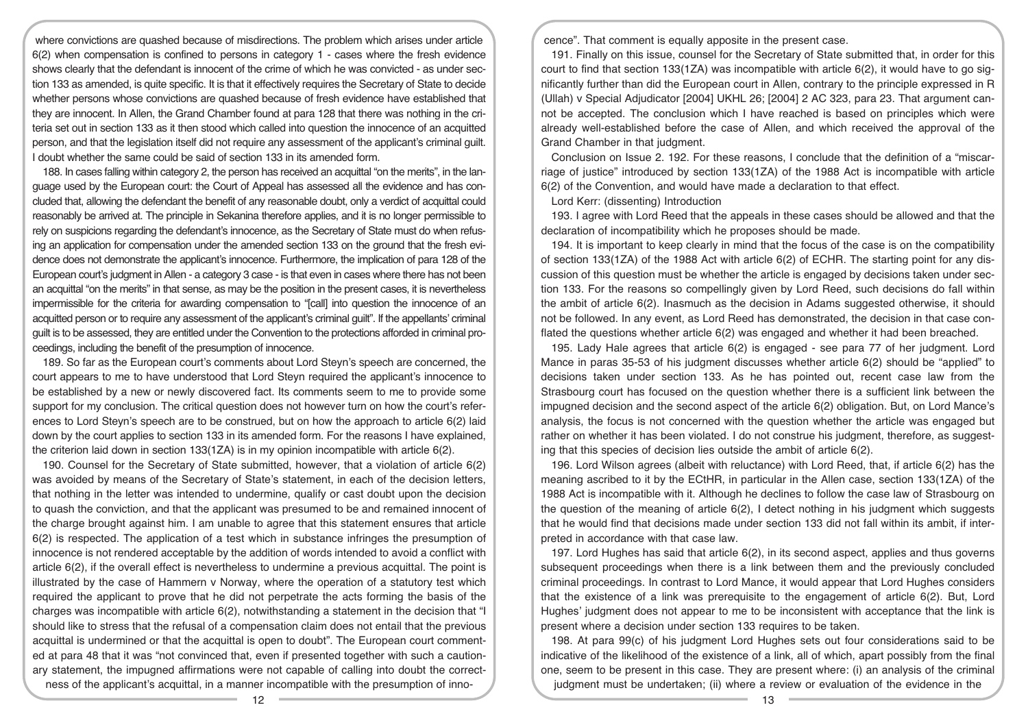where convictions are quashed because of misdirections. The problem which arises under article 6(2) when compensation is confined to persons in category 1 - cases where the fresh evidence shows clearly that the defendant is innocent of the crime of which he was convicted - as under section 133 as amended, is quite specific. It is that it effectively requires the Secretary of State to decide whether persons whose convictions are quashed because of fresh evidence have established that they are innocent. In Allen, the Grand Chamber found at para 128 that there was nothing in the criteria set out in section 133 as it then stood which called into question the innocence of an acquitted person, and that the legislation itself did not require any assessment of the applicant's criminal guilt. I doubt whether the same could be said of section 133 in its amended form.

188. In cases falling within category 2, the person has received an acquittal "on the merits", in the language used by the European court: the Court of Appeal has assessed all the evidence and has concluded that, allowing the defendant the benefit of any reasonable doubt, only a verdict of acquittal could reasonably be arrived at. The principle in Sekanina therefore applies, and it is no longer permissible to rely on suspicions regarding the defendant's innocence, as the Secretary of State must do when refusing an application for compensation under the amended section 133 on the ground that the fresh evidence does not demonstrate the applicant's innocence. Furthermore, the implication of para 128 of the European court's judgment in Allen - a category 3 case - is that even in cases where there has not been an acquittal "on the merits" in that sense, as may be the position in the present cases, it is nevertheless impermissible for the criteria for awarding compensation to "[call] into question the innocence of an acquitted person or to require any assessment of the applicant's criminal guilt". If the appellants' criminal guilt is to be assessed, they are entitled under the Convention to the protections afforded in criminal proceedings, including the benefit of the presumption of innocence.

189. So far as the European court's comments about Lord Steyn's speech are concerned, the court appears to me to have understood that Lord Steyn required the applicant's innocence to be established by a new or newly discovered fact. Its comments seem to me to provide some support for my conclusion. The critical question does not however turn on how the court's references to Lord Steyn's speech are to be construed, but on how the approach to article 6(2) laid down by the court applies to section 133 in its amended form. For the reasons I have explained, the criterion laid down in section 133(1ZA) is in my opinion incompatible with article 6(2).

190. Counsel for the Secretary of State submitted, however, that a violation of article 6(2) was avoided by means of the Secretary of State's statement, in each of the decision letters, that nothing in the letter was intended to undermine, qualify or cast doubt upon the decision to quash the conviction, and that the applicant was presumed to be and remained innocent of the charge brought against him. I am unable to agree that this statement ensures that article 6(2) is respected. The application of a test which in substance infringes the presumption of innocence is not rendered acceptable by the addition of words intended to avoid a conflict with article 6(2), if the overall effect is nevertheless to undermine a previous acquittal. The point is illustrated by the case of Hammern v Norway, where the operation of a statutory test which required the applicant to prove that he did not perpetrate the acts forming the basis of the charges was incompatible with article 6(2), notwithstanding a statement in the decision that "I should like to stress that the refusal of a compensation claim does not entail that the previous acquittal is undermined or that the acquittal is open to doubt". The European court commented at para 48 that it was "not convinced that, even if presented together with such a cautionary statement, the impugned affirmations were not capable of calling into doubt the correctness of the applicant's acquittal, in a manner incompatible with the presumption of innocence". That comment is equally apposite in the present case.

191. Finally on this issue, counsel for the Secretary of State submitted that, in order for this court to find that section 133(1ZA) was incompatible with article 6(2), it would have to go significantly further than did the European court in Allen, contrary to the principle expressed in R (Ullah) v Special Adjudicator [2004] UKHL 26; [2004] 2 AC 323, para 23. That argument cannot be accepted. The conclusion which I have reached is based on principles which were already well-established before the case of Allen, and which received the approval of the Grand Chamber in that judgment.

Conclusion on Issue 2. 192. For these reasons, I conclude that the definition of a "miscarriage of justice" introduced by section 133(1ZA) of the 1988 Act is incompatible with article 6(2) of the Convention, and would have made a declaration to that effect.

Lord Kerr: (dissenting) Introduction

193. I agree with Lord Reed that the appeals in these cases should be allowed and that the declaration of incompatibility which he proposes should be made.

194. It is important to keep clearly in mind that the focus of the case is on the compatibility of section 133(1ZA) of the 1988 Act with article 6(2) of ECHR. The starting point for any discussion of this question must be whether the article is engaged by decisions taken under section 133. For the reasons so compellingly given by Lord Reed, such decisions do fall within the ambit of article 6(2). Inasmuch as the decision in Adams suggested otherwise, it should not be followed. In any event, as Lord Reed has demonstrated, the decision in that case conflated the questions whether article 6(2) was engaged and whether it had been breached.

195. Lady Hale agrees that article 6(2) is engaged - see para 77 of her judgment. Lord Mance in paras 35-53 of his judgment discusses whether article 6(2) should be "applied" to decisions taken under section 133. As he has pointed out, recent case law from the Strasbourg court has focused on the question whether there is a sufficient link between the impugned decision and the second aspect of the article 6(2) obligation. But, on Lord Mance's analysis, the focus is not concerned with the question whether the article was engaged but rather on whether it has been violated. I do not construe his judgment, therefore, as suggesting that this species of decision lies outside the ambit of article 6(2).

196. Lord Wilson agrees (albeit with reluctance) with Lord Reed, that, if article 6(2) has the meaning ascribed to it by the ECtHR, in particular in the Allen case, section 133(1ZA) of the 1988 Act is incompatible with it. Although he declines to follow the case law of Strasbourg on the question of the meaning of article 6(2), I detect nothing in his judgment which suggests that he would find that decisions made under section 133 did not fall within its ambit, if interpreted in accordance with that case law.

197. Lord Hughes has said that article 6(2), in its second aspect, applies and thus governs subsequent proceedings when there is a link between them and the previously concluded criminal proceedings. In contrast to Lord Mance, it would appear that Lord Hughes considers that the existence of a link was prerequisite to the engagement of article 6(2). But, Lord Hughes' judgment does not appear to me to be inconsistent with acceptance that the link is present where a decision under section 133 requires to be taken.

198. At para 99(c) of his judgment Lord Hughes sets out four considerations said to be indicative of the likelihood of the existence of a link, all of which, apart possibly from the final one, seem to be present in this case. They are present where: (i) an analysis of the criminal judgment must be undertaken; (ii) where a review or evaluation of the evidence in the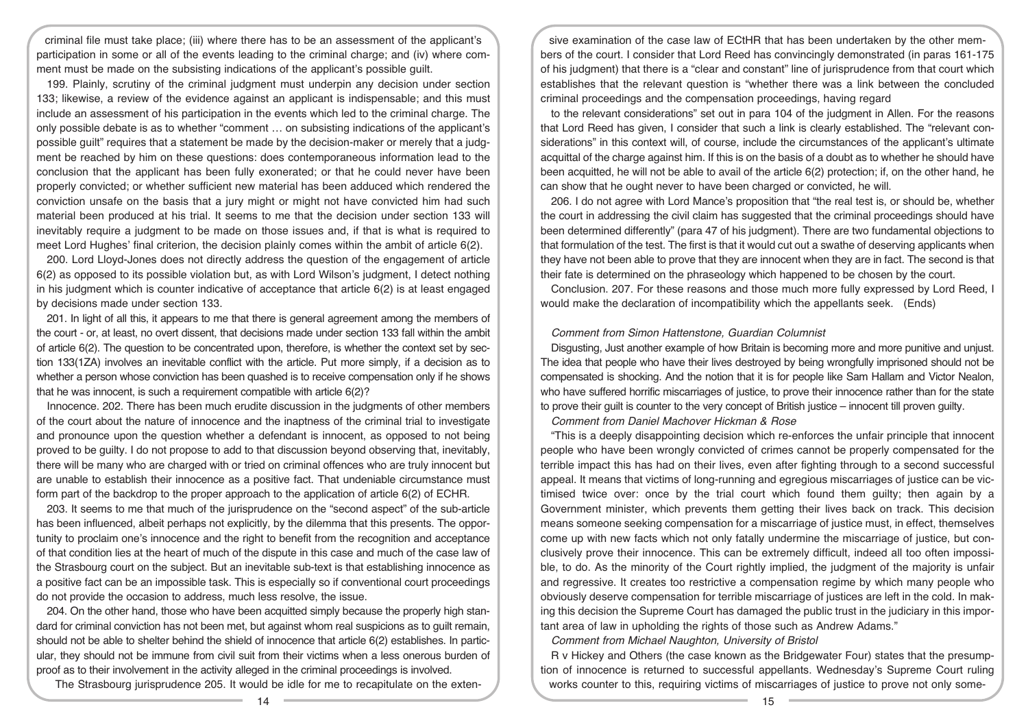criminal file must take place; (iii) where there has to be an assessment of the applicant's participation in some or all of the events leading to the criminal charge; and (iv) where comment must be made on the subsisting indications of the applicant's possible guilt.

199. Plainly, scrutiny of the criminal judgment must underpin any decision under section 133; likewise, a review of the evidence against an applicant is indispensable; and this must include an assessment of his participation in the events which led to the criminal charge. The only possible debate is as to whether "comment … on subsisting indications of the applicant's possible guilt" requires that a statement be made by the decision-maker or merely that a judgment be reached by him on these questions: does contemporaneous information lead to the conclusion that the applicant has been fully exonerated; or that he could never have been properly convicted; or whether sufficient new material has been adduced which rendered the conviction unsafe on the basis that a jury might or might not have convicted him had such material been produced at his trial. It seems to me that the decision under section 133 will inevitably require a judgment to be made on those issues and, if that is what is required to meet Lord Hughes' final criterion, the decision plainly comes within the ambit of article 6(2).

200. Lord Lloyd-Jones does not directly address the question of the engagement of article 6(2) as opposed to its possible violation but, as with Lord Wilson's judgment, I detect nothing in his judgment which is counter indicative of acceptance that article 6(2) is at least engaged by decisions made under section 133.

201. In light of all this, it appears to me that there is general agreement among the members of the court - or, at least, no overt dissent, that decisions made under section 133 fall within the ambit of article 6(2). The question to be concentrated upon, therefore, is whether the context set by section 133(1ZA) involves an inevitable conflict with the article. Put more simply, if a decision as to whether a person whose conviction has been quashed is to receive compensation only if he shows that he was innocent, is such a requirement compatible with article 6(2)?

Innocence. 202. There has been much erudite discussion in the judgments of other members of the court about the nature of innocence and the inaptness of the criminal trial to investigate and pronounce upon the question whether a defendant is innocent, as opposed to not being proved to be guilty. I do not propose to add to that discussion beyond observing that, inevitably, there will be many who are charged with or tried on criminal offences who are truly innocent but are unable to establish their innocence as a positive fact. That undeniable circumstance must form part of the backdrop to the proper approach to the application of article 6(2) of ECHR.

203. It seems to me that much of the jurisprudence on the "second aspect" of the sub-article has been influenced, albeit perhaps not explicitly, by the dilemma that this presents. The opportunity to proclaim one's innocence and the right to benefit from the recognition and acceptance of that condition lies at the heart of much of the dispute in this case and much of the case law of the Strasbourg court on the subject. But an inevitable sub-text is that establishing innocence as a positive fact can be an impossible task. This is especially so if conventional court proceedings do not provide the occasion to address, much less resolve, the issue.

204. On the other hand, those who have been acquitted simply because the properly high standard for criminal conviction has not been met, but against whom real suspicions as to guilt remain, should not be able to shelter behind the shield of innocence that article 6(2) establishes. In particular, they should not be immune from civil suit from their victims when a less onerous burden of proof as to their involvement in the activity alleged in the criminal proceedings is involved.

The Strasbourg jurisprudence 205. It would be idle for me to recapitulate on the exten-

sive examination of the case law of ECtHR that has been undertaken by the other members of the court. I consider that Lord Reed has convincingly demonstrated (in paras 161-175 of his judgment) that there is a "clear and constant" line of jurisprudence from that court which establishes that the relevant question is "whether there was a link between the concluded criminal proceedings and the compensation proceedings, having regard

to the relevant considerations" set out in para 104 of the judgment in Allen. For the reasons that Lord Reed has given, I consider that such a link is clearly established. The "relevant considerations" in this context will, of course, include the circumstances of the applicant's ultimate acquittal of the charge against him. If this is on the basis of a doubt as to whether he should have been acquitted, he will not be able to avail of the article 6(2) protection; if, on the other hand, he can show that he ought never to have been charged or convicted, he will.

206. I do not agree with Lord Mance's proposition that "the real test is, or should be, whether the court in addressing the civil claim has suggested that the criminal proceedings should have been determined differently" (para 47 of his judgment). There are two fundamental objections to that formulation of the test. The first is that it would cut out a swathe of deserving applicants when they have not been able to prove that they are innocent when they are in fact. The second is that their fate is determined on the phraseology which happened to be chosen by the court.

Conclusion. 207. For these reasons and those much more fully expressed by Lord Reed, I would make the declaration of incompatibility which the appellants seek. (Ends)

#### Comment from Simon Hattenstone, Guardian Columnist

Disgusting, Just another example of how Britain is becoming more and more punitive and unjust. The idea that people who have their lives destroyed by being wrongfully imprisoned should not be compensated is shocking. And the notion that it is for people like Sam Hallam and Victor Nealon, who have suffered horrific miscarriages of justice, to prove their innocence rather than for the state to prove their guilt is counter to the very concept of British justice – innocent till proven guilty.

Comment from Daniel Machover Hickman & Rose

"This is a deeply disappointing decision which re-enforces the unfair principle that innocent people who have been wrongly convicted of crimes cannot be properly compensated for the terrible impact this has had on their lives, even after fighting through to a second successful appeal. It means that victims of long-running and egregious miscarriages of justice can be victimised twice over: once by the trial court which found them guilty; then again by a Government minister, which prevents them getting their lives back on track. This decision means someone seeking compensation for a miscarriage of justice must, in effect, themselves come up with new facts which not only fatally undermine the miscarriage of justice, but conclusively prove their innocence. This can be extremely difficult, indeed all too often impossible, to do. As the minority of the Court rightly implied, the judgment of the majority is unfair and regressive. It creates too restrictive a compensation regime by which many people who obviously deserve compensation for terrible miscarriage of justices are left in the cold. In making this decision the Supreme Court has damaged the public trust in the judiciary in this important area of law in upholding the rights of those such as Andrew Adams."

Comment from Michael Naughton, University of Bristol

R v Hickey and Others (the case known as the Bridgewater Four) states that the presumption of innocence is returned to successful appellants. Wednesday's Supreme Court ruling works counter to this, requiring victims of miscarriages of justice to prove not only some-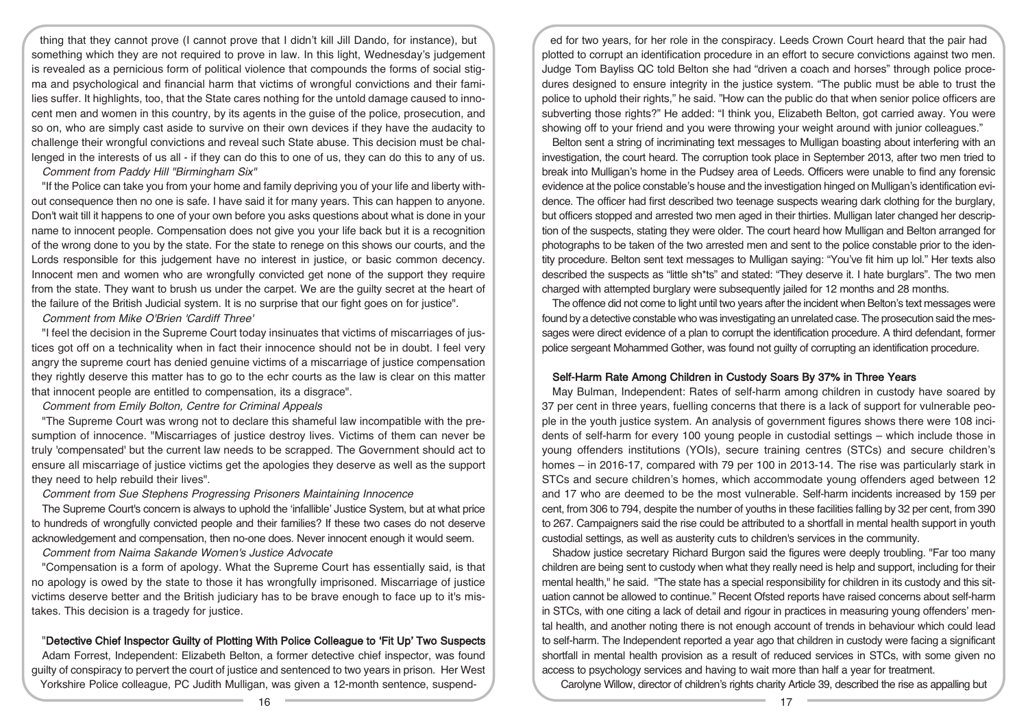thing that they cannot prove (I cannot prove that I didn't kill Jill Dando, for instance), but something which they are not required to prove in law. In this light, Wednesday's judgement is revealed as a pernicious form of political violence that compounds the forms of social stigma and psychological and financial harm that victims of wrongful convictions and their families suffer. It highlights, too, that the State cares nothing for the untold damage caused to innocent men and women in this country, by its agents in the guise of the police, prosecution, and so on, who are simply cast aside to survive on their own devices if they have the audacity to challenge their wrongful convictions and reveal such State abuse. This decision must be challenged in the interests of us all - if they can do this to one of us, they can do this to any of us.

Comment from Paddy Hill "Birmingham Six"

"If the Police can take you from your home and family depriving you of your life and liberty without consequence then no one is safe. I have said it for many years. This can happen to anyone. Don't wait till it happens to one of your own before you asks questions about what is done in your name to innocent people. Compensation does not give you your life back but it is a recognition of the wrong done to you by the state. For the state to renege on this shows our courts, and the Lords responsible for this judgement have no interest in justice, or basic common decency. Innocent men and women who are wrongfully convicted get none of the support they require from the state. They want to brush us under the carpet. We are the guilty secret at the heart of the failure of the British Judicial system. It is no surprise that our fight goes on for justice".

Comment from Mike O'Brien 'Cardiff Three'

"I feel the decision in the Supreme Court today insinuates that victims of miscarriages of justices got off on a technicality when in fact their innocence should not be in doubt. I feel very angry the supreme court has denied genuine victims of a miscarriage of justice compensation they rightly deserve this matter has to go to the echr courts as the law is clear on this matter that innocent people are entitled to compensation, its a disgrace".

Comment from Emily Bolton, Centre for Criminal Appeals

"The Supreme Court was wrong not to declare this shameful law incompatible with the presumption of innocence. "Miscarriages of justice destroy lives. Victims of them can never be truly 'compensated' but the current law needs to be scrapped. The Government should act to ensure all miscarriage of justice victims get the apologies they deserve as well as the support they need to help rebuild their lives".

Comment from Sue Stephens Progressing Prisoners Maintaining Innocence

The Supreme Court's concern is always to uphold the 'infallible' Justice System, but at what price to hundreds of wrongfully convicted people and their families? If these two cases do not deserve acknowledgement and compensation, then no-one does. Never innocent enough it would seem.

Comment from Naima Sakande Women's Justice Advocate

"Compensation is a form of apology. What the Supreme Court has essentially said, is that no apology is owed by the state to those it has wrongfully imprisoned. Miscarriage of justice victims deserve better and the British judiciary has to be brave enough to face up to it's mistakes. This decision is a tragedy for justice.

## "Detective Chief Inspector Guilty of Plotting With Police Colleague to 'Fit Up' Two Suspects

Adam Forrest, Independent: Elizabeth Belton, a former detective chief inspector, was found guilty of conspiracy to pervert the court of justice and sentenced to two years in prison. Her West Yorkshire Police colleague, PC Judith Mulligan, was given a 12-month sentence, suspend-

ed for two years, for her role in the conspiracy. Leeds Crown Court heard that the pair had plotted to corrupt an identification procedure in an effort to secure convictions against two men. Judge Tom Bayliss QC told Belton she had "driven a coach and horses" through police procedures designed to ensure integrity in the justice system. "The public must be able to trust the police to uphold their rights," he said. "How can the public do that when senior police officers are subverting those rights?" He added: "I think you, Elizabeth Belton, got carried away. You were showing off to your friend and you were throwing your weight around with junior colleagues."

Belton sent a string of incriminating text messages to Mulligan boasting about interfering with an investigation, the court heard. The corruption took place in September 2013, after two men tried to break into Mulligan's home in the Pudsey area of Leeds. Officers were unable to find any forensic evidence at the police constable's house and the investigation hinged on Mulligan's identification evidence. The officer had first described two teenage suspects wearing dark clothing for the burglary, but officers stopped and arrested two men aged in their thirties. Mulligan later changed her description of the suspects, stating they were older. The court heard how Mulligan and Belton arranged for photographs to be taken of the two arrested men and sent to the police constable prior to the identity procedure. Belton sent text messages to Mulligan saying: "You've fit him up lol." Her texts also described the suspects as "little sh\*ts" and stated: "They deserve it. I hate burglars". The two men charged with attempted burglary were subsequently jailed for 12 months and 28 months.

The offence did not come to light until two years after the incident when Belton's text messages were found by a detective constable who was investigating an unrelated case. The prosecution said the messages were direct evidence of a plan to corrupt the identification procedure. A third defendant, former police sergeant Mohammed Gother, was found not guilty of corrupting an identification procedure.

## Self-Harm Rate Among Children in Custody Soars By 37% in Three Years

May Bulman, Independent: Rates of self-harm among children in custody have soared by 37 per cent in three years, fuelling concerns that there is a lack of support for vulnerable people in the youth justice system. An analysis of government figures shows there were 108 incidents of self-harm for every 100 young people in custodial settings – which include those in young offenders institutions (YOIs), secure training centres (STCs) and secure children's homes – in 2016-17, compared with 79 per 100 in 2013-14. The rise was particularly stark in STCs and secure children's homes, which accommodate young offenders aged between 12 and 17 who are deemed to be the most vulnerable. Self-harm incidents increased by 159 per cent, from 306 to 794, despite the number of youths in these facilities falling by 32 per cent, from 390 to 267. Campaigners said the rise could be attributed to a shortfall in mental health support in youth custodial settings, as well as austerity cuts to children's services in the community.

Shadow justice secretary Richard Burgon said the figures were deeply troubling. "Far too many children are being sent to custody when what they really need is help and support, including for their mental health," he said. "The state has a special responsibility for children in its custody and this situation cannot be allowed to continue." Recent Ofsted reports have raised concerns about self-harm in STCs, with one citing a lack of detail and rigour in practices in measuring young offenders' mental health, and another noting there is not enough account of trends in behaviour which could lead to self-harm. The Independent reported a year ago that children in custody were facing a significant shortfall in mental health provision as a result of reduced services in STCs, with some given no access to psychology services and having to wait more than half a year for treatment.

Carolyne Willow, director of children's rights charity Article 39, described the rise as appalling but